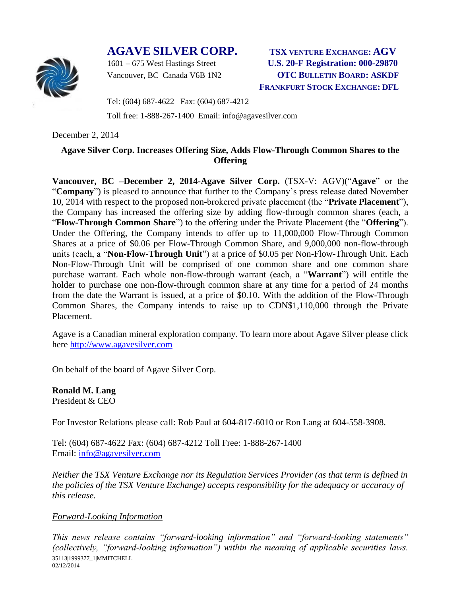## **AGAVE SILVER CORP. TSX VENTURE EXCHANGE: AGV**



1601 – 675 West Hastings Street **U.S. 20-F Registration: 000-29870** Vancouver, BC Canada V6B 1N2 **OTC BULLETIN BOARD: ASKDF FRANKFURT STOCK EXCHANGE: DFL**

Tel: (604) 687-4622 Fax: (604) 687-4212

Toll free: 1-888-267-1400 Email: info@agavesilver.com

December 2, 2014

## **Agave Silver Corp. Increases Offering Size, Adds Flow-Through Common Shares to the Offering**

**Vancouver, BC –December 2, 2014-Agave Silver Corp.** (TSX-V: AGV)("**Agave**" or the "**Company**") is pleased to announce that further to the Company's press release dated November 10, 2014 with respect to the proposed non-brokered private placement (the "**Private Placement**"), the Company has increased the offering size by adding flow-through common shares (each, a "**Flow-Through Common Share**") to the offering under the Private Placement (the "**Offering**"). Under the Offering, the Company intends to offer up to 11,000,000 Flow-Through Common Shares at a price of \$0.06 per Flow-Through Common Share, and 9,000,000 non-flow-through units (each, a "**Non-Flow-Through Unit**") at a price of \$0.05 per Non-Flow-Through Unit. Each Non-Flow-Through Unit will be comprised of one common share and one common share purchase warrant. Each whole non-flow-through warrant (each, a "**Warrant**") will entitle the holder to purchase one non-flow-through common share at any time for a period of 24 months from the date the Warrant is issued, at a price of \$0.10. With the addition of the Flow-Through Common Shares, the Company intends to raise up to CDN\$1,110,000 through the Private Placement.

Agave is a Canadian mineral exploration company. To learn more about Agave Silver please click here [http://www.agavesilver.com](http://www.agavesilver.com/)

On behalf of the board of Agave Silver Corp.

**Ronald M. Lang** President & CEO

For Investor Relations please call: Rob Paul at 604-817-6010 or Ron Lang at 604-558-3908.

Tel: (604) 687-4622 Fax: (604) 687-4212 Toll Free: 1-888-267-1400 Email: [info@agavesilver.com](mailto:info@agavesilver.com)

*Neither the TSX Venture Exchange nor its Regulation Services Provider (as that term is defined in the policies of the TSX Venture Exchange) accepts responsibility for the adequacy or accuracy of this release.*

## *Forward-Looking Information*

35113|1999377\_1|MMITCHELL 02/12/2014 *This news release contains "forward-looking information" and "forward-looking statements" (collectively, "forward-looking information") within the meaning of applicable securities laws.*